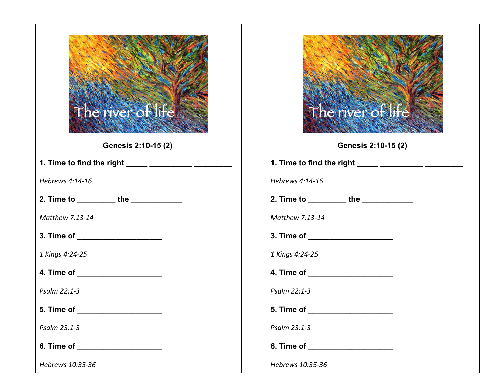| The riversof ife                                  |
|---------------------------------------------------|
| Genesis 2:10-15 (2)                               |
| 1. Time to find the right _____ __________ ______ |
| Hebrews 4:14-16                                   |
| 2. Time to _________the __________                |
| Matthew 7:13-14                                   |
| 3. Time of _____________________                  |
| 1 Kings 4:24-25                                   |
| 4. Time of ____________________                   |
| Psalm 22:1-3                                      |
| 5. Time of                                        |
| Psalm 23:1-3                                      |
|                                                   |
| Hebrews 10:35-36                                  |

|                  | The river of ife                                  |
|------------------|---------------------------------------------------|
|                  | Genesis 2:10-15 (2)                               |
|                  | 1. Time to find the right _____ ___________ _____ |
| Hebrews 4:14-16  |                                                   |
|                  | 2. Time to _________the __________                |
| Matthew 7:13-14  |                                                   |
|                  | 3. Time of ______________________                 |
| 1 Kings 4:24-25  |                                                   |
|                  | 4. Time of ____________________                   |
| Psalm 22:1-3     |                                                   |
| 5. Time of       |                                                   |
| Psalm 23:1-3     |                                                   |
| 6. Time of       |                                                   |
| Hebrews 10:35-36 |                                                   |